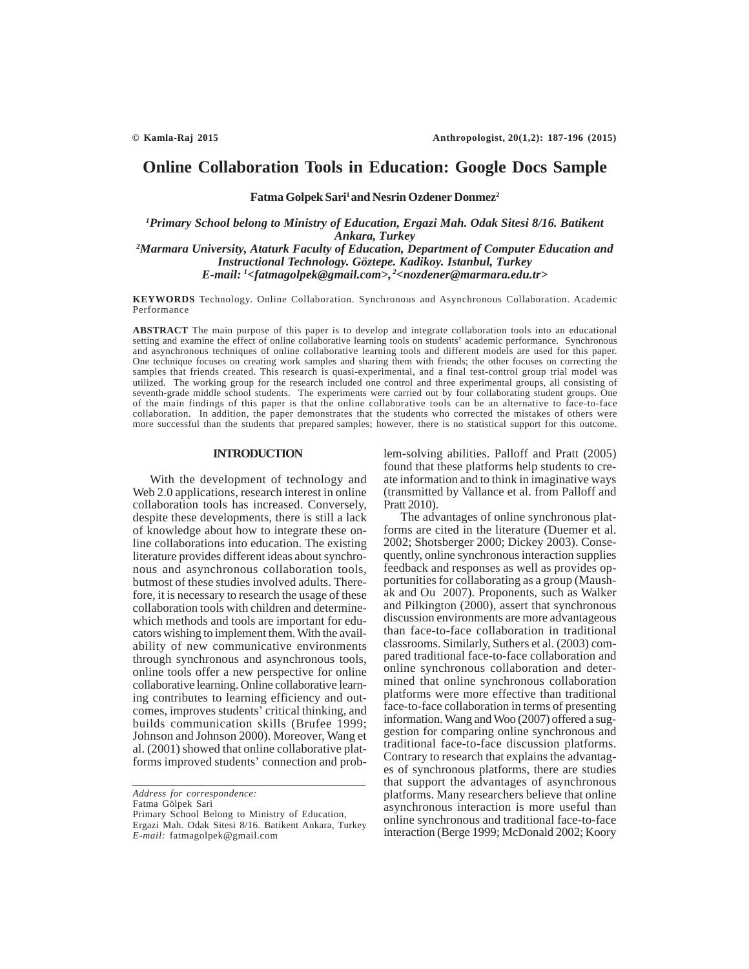# **Online Collaboration Tools in Education: Google Docs Sample**

Fatma Golpek Sari<sup>1</sup> and Nesrin Ozdener Donmez<sup>2</sup>

*1 Primary School belong to Ministry of Education, Ergazi Mah. Odak Sitesi 8/16. Batikent Ankara, Turkey 2 Marmara University, Ataturk Faculty of Education, Department of Computer Education and Instructional Technology. Göztepe. Kadikoy. Istanbul, Turkey E-mail: 1 <fatmagolpek@gmail.com>, 2<nozdener@marmara.edu.tr>*

**KEYWORDS** Technology. Online Collaboration. Synchronous and Asynchronous Collaboration. Academic Performance

**ABSTRACT** The main purpose of this paper is to develop and integrate collaboration tools into an educational setting and examine the effect of online collaborative learning tools on students' academic performance. Synchronous and asynchronous techniques of online collaborative learning tools and different models are used for this paper. One technique focuses on creating work samples and sharing them with friends; the other focuses on correcting the samples that friends created. This research is quasi-experimental, and a final test-control group trial model was utilized. The working group for the research included one control and three experimental groups, all consisting of seventh-grade middle school students. The experiments were carried out by four collaborating student groups. One of the main findings of this paper is that the online collaborative tools can be an alternative to face-to-face collaboration. In addition, the paper demonstrates that the students who corrected the mistakes of others were more successful than the students that prepared samples; however, there is no statistical support for this outcome.

## **INTRODUCTION**

With the development of technology and Web 2.0 applications, research interest in online collaboration tools has increased. Conversely, despite these developments, there is still a lack of knowledge about how to integrate these online collaborations into education. The existing literature provides different ideas about synchronous and asynchronous collaboration tools, butmost of these studies involved adults. Therefore, it is necessary to research the usage of these collaboration tools with children and determinewhich methods and tools are important for educators wishing to implement them. With the availability of new communicative environments through synchronous and asynchronous tools, online tools offer a new perspective for online collaborative learning. Online collaborative learning contributes to learning efficiency and outcomes, improves students' critical thinking, and builds communication skills (Brufee 1999; Johnson and Johnson 2000). Moreover, Wang et al. (2001) showed that online collaborative platforms improved students' connection and prob-

*Address for correspondence:*

Fatma Gölpek Sari

Primary School Belong to Ministry of Education, Ergazi Mah. Odak Sitesi 8/16. Batikent Ankara, Turkey *E-mail:* fatmagolpek@gmail.com

lem-solving abilities. Palloff and Pratt (2005) found that these platforms help students to create information and to think in imaginative ways (transmitted by Vallance et al. from Palloff and Pratt 2010).

The advantages of online synchronous platforms are cited in the literature (Duemer et al. 2002; Shotsberger 2000; Dickey 2003). Consequently, online synchronous interaction supplies feedback and responses as well as provides opportunities for collaborating as a group (Maushak and Ou 2007). Proponents, such as Walker and Pilkington (2000), assert that synchronous discussion environments are more advantageous than face-to-face collaboration in traditional classrooms. Similarly, Suthers et al. (2003) compared traditional face-to-face collaboration and online synchronous collaboration and determined that online synchronous collaboration platforms were more effective than traditional face-to-face collaboration in terms of presenting information. Wang and Woo (2007) offered a suggestion for comparing online synchronous and traditional face-to-face discussion platforms. Contrary to research that explains the advantages of synchronous platforms, there are studies that support the advantages of asynchronous platforms. Many researchers believe that online asynchronous interaction is more useful than online synchronous and traditional face-to-face interaction (Berge 1999; McDonald 2002; Koory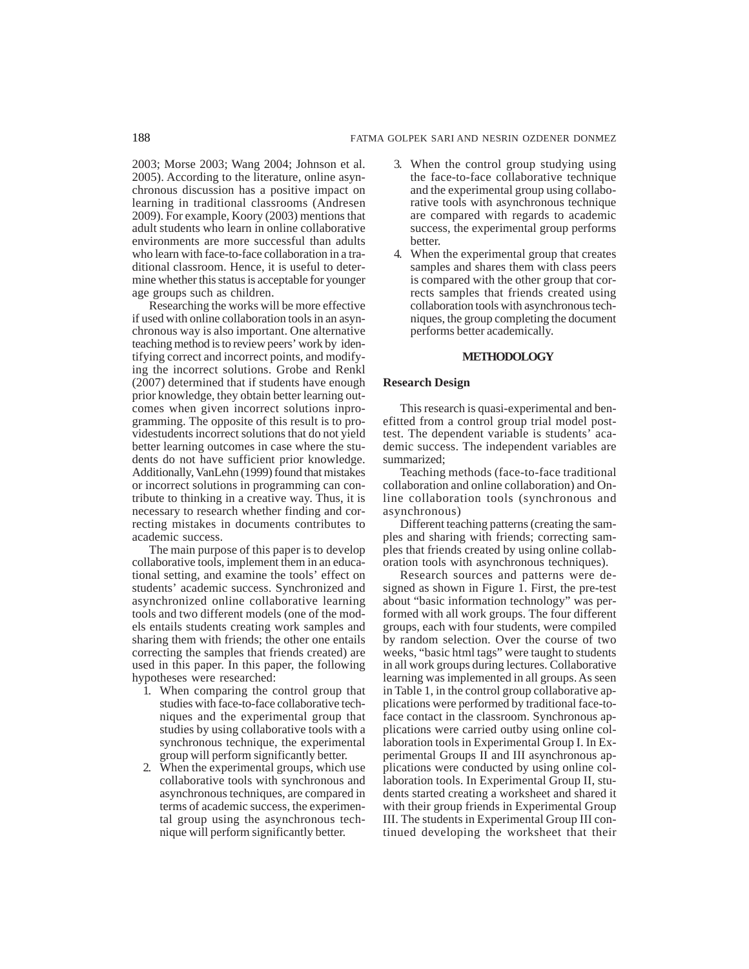2003; Morse 2003; Wang 2004; Johnson et al. 2005). According to the literature, online asynchronous discussion has a positive impact on learning in traditional classrooms (Andresen 2009). For example, Koory (2003) mentions that adult students who learn in online collaborative environments are more successful than adults who learn with face-to-face collaboration in a traditional classroom. Hence, it is useful to determine whether this status is acceptable for younger age groups such as children.

Researching the works will be more effective if used with online collaboration tools in an asynchronous way is also important. One alternative teaching method is to review peers' work by identifying correct and incorrect points, and modifying the incorrect solutions. Grobe and Renkl (2007) determined that if students have enough prior knowledge, they obtain better learning outcomes when given incorrect solutions inprogramming. The opposite of this result is to providestudents incorrect solutions that do not yield better learning outcomes in case where the students do not have sufficient prior knowledge. Additionally, VanLehn (1999) found that mistakes or incorrect solutions in programming can contribute to thinking in a creative way. Thus, it is necessary to research whether finding and correcting mistakes in documents contributes to academic success.

The main purpose of this paper is to develop collaborative tools, implement them in an educational setting, and examine the tools' effect on students' academic success. Synchronized and asynchronized online collaborative learning tools and two different models (one of the models entails students creating work samples and sharing them with friends; the other one entails correcting the samples that friends created) are used in this paper. In this paper, the following hypotheses were researched:

- 1. When comparing the control group that studies with face-to-face collaborative techniques and the experimental group that studies by using collaborative tools with a synchronous technique, the experimental group will perform significantly better.
- 2. When the experimental groups, which use collaborative tools with synchronous and asynchronous techniques, are compared in terms of academic success, the experimental group using the asynchronous technique will perform significantly better.
- 3. When the control group studying using the face-to-face collaborative technique and the experimental group using collaborative tools with asynchronous technique are compared with regards to academic success, the experimental group performs better.
- 4. When the experimental group that creates samples and shares them with class peers is compared with the other group that corrects samples that friends created using collaboration tools with asynchronous techniques, the group completing the document performs better academically.

# **METHODOLOGY**

## **Research Design**

This research is quasi-experimental and benefitted from a control group trial model posttest. The dependent variable is students' academic success. The independent variables are summarized;

Teaching methods (face-to-face traditional collaboration and online collaboration) and Online collaboration tools (synchronous and asynchronous)

Different teaching patterns (creating the samples and sharing with friends; correcting samples that friends created by using online collaboration tools with asynchronous techniques).

Research sources and patterns were designed as shown in Figure 1. First, the pre-test about "basic information technology" was performed with all work groups. The four different groups, each with four students, were compiled by random selection. Over the course of two weeks, "basic html tags" were taught to students in all work groups during lectures. Collaborative learning was implemented in all groups. As seen in Table 1, in the control group collaborative applications were performed by traditional face-toface contact in the classroom. Synchronous applications were carried outby using online collaboration tools in Experimental Group I. In Experimental Groups II and III asynchronous applications were conducted by using online collaboration tools. In Experimental Group II, students started creating a worksheet and shared it with their group friends in Experimental Group III. The students in Experimental Group III continued developing the worksheet that their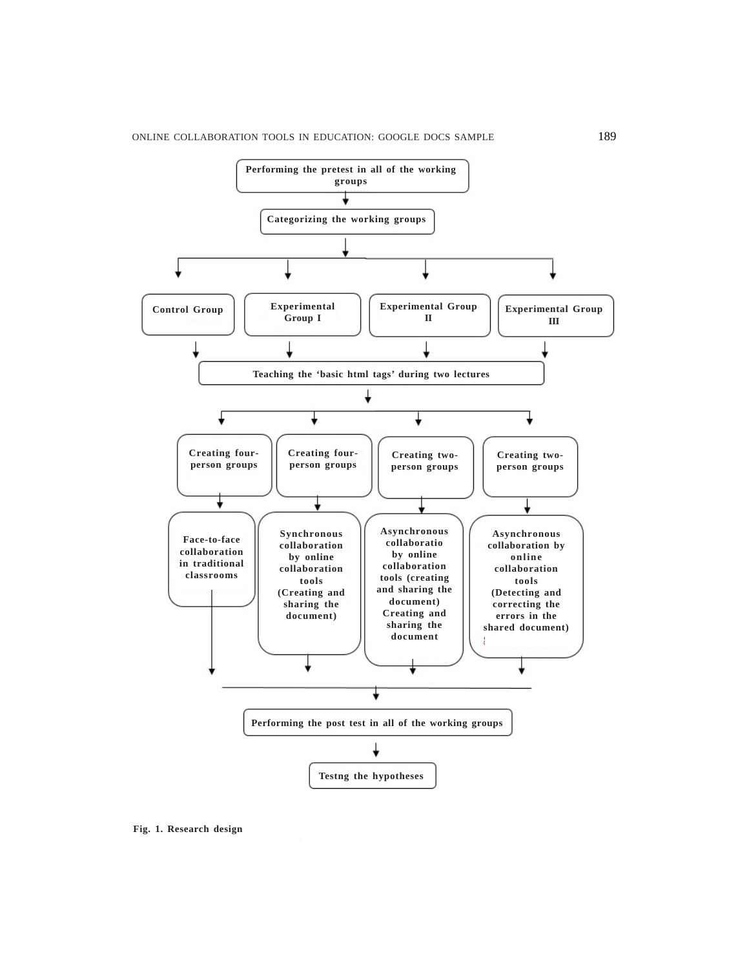

**Fig. 1. Research design**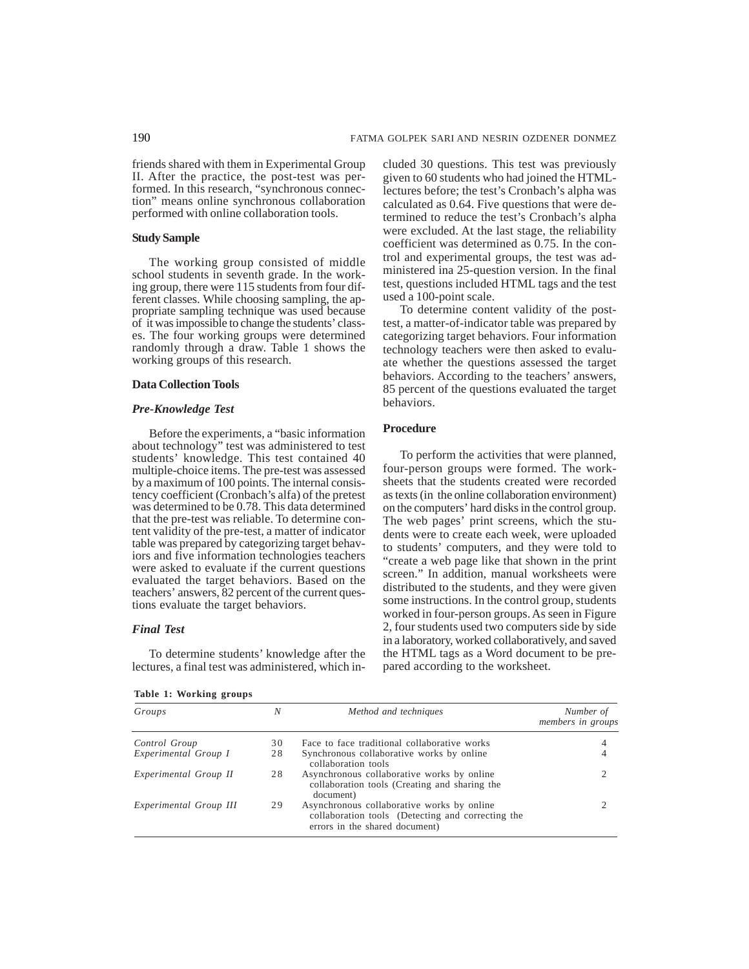friends shared with them in Experimental Group II. After the practice, the post-test was performed. In this research, "synchronous connection" means online synchronous collaboration performed with online collaboration tools.

## **Study Sample**

The working group consisted of middle school students in seventh grade. In the working group, there were 115 students from four different classes. While choosing sampling, the appropriate sampling technique was used because of it was impossible to change the students' classes. The four working groups were determined randomly through a draw. Table 1 shows the working groups of this research.

# **Data Collection Tools**

# *Pre-Knowledge Test*

Before the experiments, a "basic information about technology" test was administered to test students' knowledge. This test contained 40 multiple-choice items. The pre-test was assessed by a maximum of 100 points. The internal consistency coefficient (Cronbach's alfa) of the pretest was determined to be 0.78. This data determined that the pre-test was reliable. To determine content validity of the pre-test, a matter of indicator table was prepared by categorizing target behaviors and five information technologies teachers were asked to evaluate if the current questions evaluated the target behaviors. Based on the teachers' answers, 82 percent of the current questions evaluate the target behaviors.

#### *Final Test*

To determine students' knowledge after the lectures, a final test was administered, which in-

**Table 1: Working groups**

cluded 30 questions. This test was previously given to 60 students who had joined the HTMLlectures before; the test's Cronbach's alpha was calculated as 0.64. Five questions that were determined to reduce the test's Cronbach's alpha were excluded. At the last stage, the reliability coefficient was determined as 0.75. In the control and experimental groups, the test was administered ina 25-question version. In the final test, questions included HTML tags and the test used a 100-point scale.

To determine content validity of the posttest, a matter-of-indicator table was prepared by categorizing target behaviors. Four information technology teachers were then asked to evaluate whether the questions assessed the target behaviors. According to the teachers' answers, 85 percent of the questions evaluated the target behaviors.

# **Procedure**

To perform the activities that were planned, four-person groups were formed. The worksheets that the students created were recorded as texts (in the online collaboration environment) on the computers' hard disks in the control group. The web pages' print screens, which the students were to create each week, were uploaded to students' computers, and they were told to "create a web page like that shown in the print screen." In addition, manual worksheets were distributed to the students, and they were given some instructions. In the control group, students worked in four-person groups. As seen in Figure 2, four students used two computers side by side in a laboratory, worked collaboratively, and saved the HTML tags as a Word document to be prepared according to the worksheet.

| Groups                 | N  | Method and techniques                                                                                                             | Number of<br>members in groups |
|------------------------|----|-----------------------------------------------------------------------------------------------------------------------------------|--------------------------------|
| Control Group          | 30 | Face to face traditional collaborative works                                                                                      |                                |
| Experimental Group I   | 28 | Synchronous collaborative works by online<br>collaboration tools                                                                  |                                |
| Experimental Group II  | 28 | Asynchronous collaborative works by online<br>collaboration tools (Creating and sharing the<br>document)                          |                                |
| Experimental Group III | 29 | Asynchronous collaborative works by online<br>collaboration tools (Detecting and correcting the<br>errors in the shared document) |                                |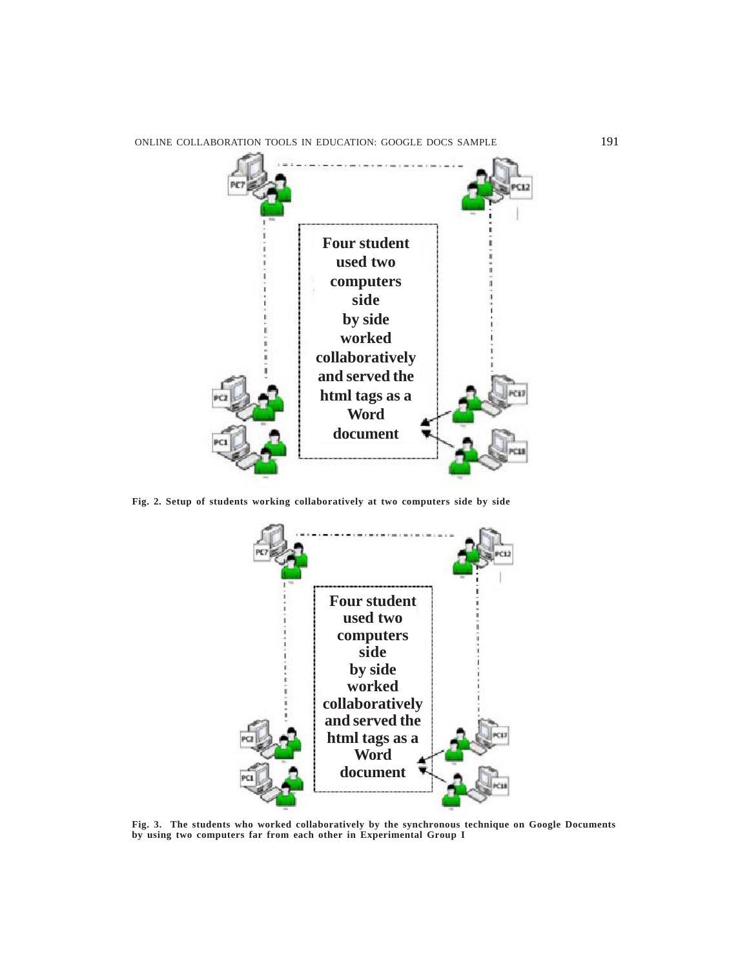ONLINE COLLABORATION TOOLS IN EDUCATION: GOOGLE DOCS SAMPLE 191



**Fig. 2. Setup of students working collaboratively at two computers side by side**



**Fig. 3. The students who worked collaboratively by the synchronous technique on Google Documents by using two computers far from each other in Experimental Group I**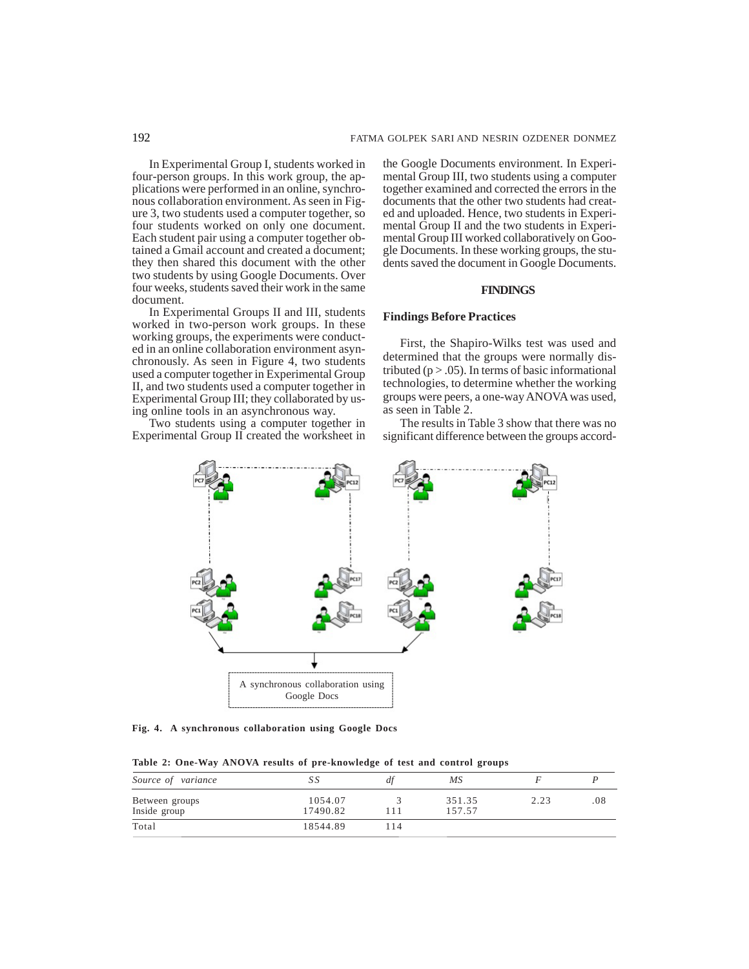In Experimental Group I, students worked in four-person groups. In this work group, the applications were performed in an online, synchronous collaboration environment. As seen in Figure 3, two students used a computer together, so four students worked on only one document. Each student pair using a computer together obtained a Gmail account and created a document; they then shared this document with the other two students by using Google Documents. Over four weeks, students saved their work in the same document.

In Experimental Groups II and III, students worked in two-person work groups. In these working groups, the experiments were conducted in an online collaboration environment asynchronously. As seen in Figure 4, two students used a computer together in Experimental Group II, and two students used a computer together in Experimental Group III; they collaborated by using online tools in an asynchronous way.

Two students using a computer together in Experimental Group II created the worksheet in the Google Documents environment. In Experimental Group III, two students using a computer together examined and corrected the errors in the documents that the other two students had created and uploaded. Hence, two students in Experimental Group II and the two students in Experimental Group III worked collaboratively on Google Documents. In these working groups, the students saved the document in Google Documents.

#### **FINDINGS**

## **Findings Before Practices**

First, the Shapiro-Wilks test was used and determined that the groups were normally distributed ( $p > .05$ ). In terms of basic informational technologies, to determine whether the working groups were peers, a one-way ANOVA was used, as seen in Table 2.

The results in Table 3 show that there was no significant difference between the groups accord-



**Fig. 4. A synchronous collaboration using Google Docs**

| Table 2: One-Way ANOVA results of pre-knowledge of test and control groups |  |  |  |
|----------------------------------------------------------------------------|--|--|--|
|----------------------------------------------------------------------------|--|--|--|

| Source of variance             | SS                  | df  | МS               |      |     |
|--------------------------------|---------------------|-----|------------------|------|-----|
| Between groups<br>Inside group | 1054.07<br>17490.82 |     | 351.35<br>157.57 | 2.23 | .08 |
| Total                          | 18544.89            | 114 |                  |      |     |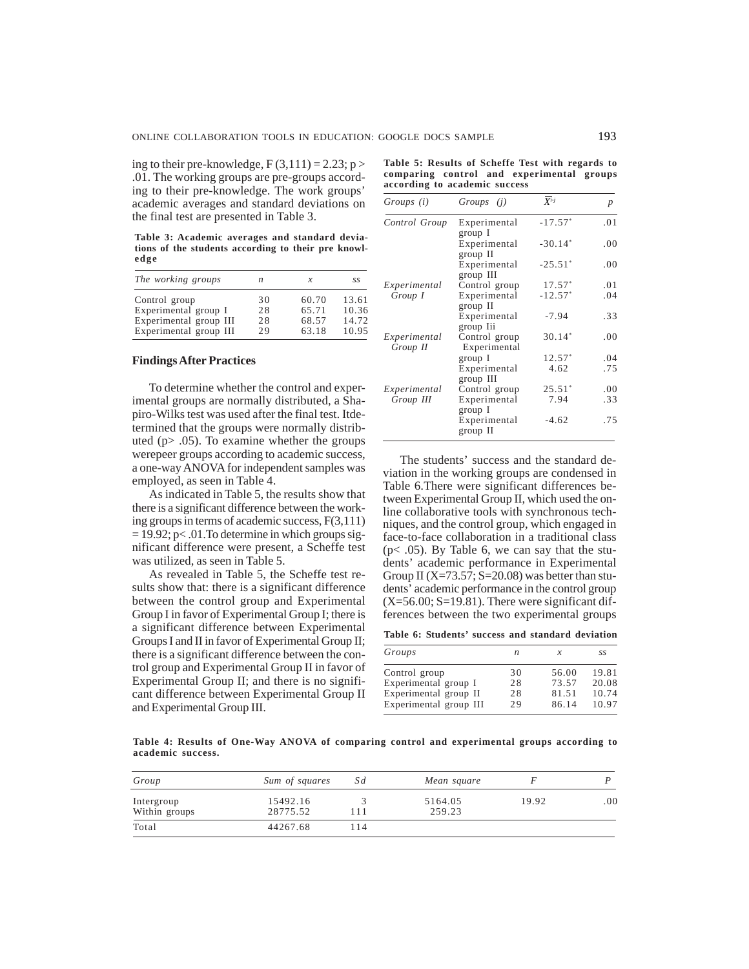ing to their pre-knowledge,  $F(3,111) = 2.23$ ; p > .01. The working groups are pre-groups according to their pre-knowledge. The work groups' academic averages and standard deviations on the final test are presented in Table 3.

**Table 3: Academic averages and standard deviations of the students according to their pre knowledge**

| The working groups                               | n         | x              | S.S            |
|--------------------------------------------------|-----------|----------------|----------------|
| Control group                                    | 30        | 60.70          | 13.61          |
| Experimental group I                             | 28        | 65.71          | 10.36          |
| Experimental group III<br>Experimental group III | 28<br>2.9 | 68.57<br>63.18 | 14.72<br>10.95 |

# **Findings After Practices**

To determine whether the control and experimental groups are normally distributed, a Shapiro-Wilks test was used after the final test. Itdetermined that the groups were normally distributed (p> .05). To examine whether the groups werepeer groups according to academic success, a one-way ANOVA for independent samples was employed, as seen in Table 4.

As indicated in Table 5, the results show that there is a significant difference between the working groups in terms of academic success, F(3,111)  $= 19.92$ ; p< .01. To determine in which groups significant difference were present, a Scheffe test was utilized, as seen in Table 5.

As revealed in Table 5, the Scheffe test results show that: there is a significant difference between the control group and Experimental Group I in favor of Experimental Group I; there is a significant difference between Experimental Groups I and II in favor of Experimental Group II; there is a significant difference between the control group and Experimental Group II in favor of Experimental Group II; and there is no significant difference between Experimental Group II and Experimental Group III.

|  |  | Table 5: Results of Scheffe Test with regards to |  |  |  |
|--|--|--------------------------------------------------|--|--|--|
|  |  | comparing control and experimental groups        |  |  |  |
|  |  | according to academic success                    |  |  |  |

| Groups (i)               | Groups ( <i>i</i> )           | $\overline{X}$ <i>i-j</i> | $\boldsymbol{p}$ |
|--------------------------|-------------------------------|---------------------------|------------------|
| Control Group            | Experimental<br>group I       | $-17.57*$                 | .01              |
|                          | Experimental<br>group II      | $-30.14*$                 | .00              |
|                          | Experimental<br>group III     | $-25.51*$                 | .00              |
| Experimental             | Control group                 | $17.57*$                  | .01              |
| Group I                  | Experimental<br>group II      | $-12.57*$                 | .04              |
|                          | Experimental<br>group Iii     | $-7.94$                   | .33              |
| Experimental<br>Group II | Control group<br>Experimental | $30.14*$                  | .00              |
|                          | group I                       | $12.57*$                  | .04              |
|                          | Experimental<br>group III     | 4.62                      | .75              |
| Experimental             | Control group                 | $25.51*$                  | .00              |
| Group III                | Experimental<br>group I       | 7.94                      | .33              |
|                          | Experimental<br>group II      | $-4.62$                   | .75              |

The students' success and the standard deviation in the working groups are condensed in Table 6.There were significant differences between Experimental Group II, which used the online collaborative tools with synchronous techniques, and the control group, which engaged in face-to-face collaboration in a traditional class (p< .05). By Table 6, we can say that the students' academic performance in Experimental Group II ( $X=73.57$ ;  $S=20.08$ ) was better than students' academic performance in the control group  $(X=56.00; S=19.81)$ . There were significant differences between the two experimental groups

**Table 6: Students' success and standard deviation**

| Groups                 | n   | x     | S.S   |
|------------------------|-----|-------|-------|
| Control group          | 30  | 56.00 | 19.81 |
| Experimental group I   | 28  | 73.57 | 20.08 |
| Experimental group II  | 28  | 81.51 | 10.74 |
| Experimental group III | 2.9 | 86.14 | 10.97 |

**Table 4: Results of One-Way ANOVA of comparing control and experimental groups according to academic success.**

| Group                       | Sum of squares       | Sd   | Mean square       |       |     |
|-----------------------------|----------------------|------|-------------------|-------|-----|
| Intergroup<br>Within groups | 15492.16<br>28775.52 |      | 5164.05<br>259.23 | 19.92 | .00 |
| Total                       | 44267.68             | l 14 |                   |       |     |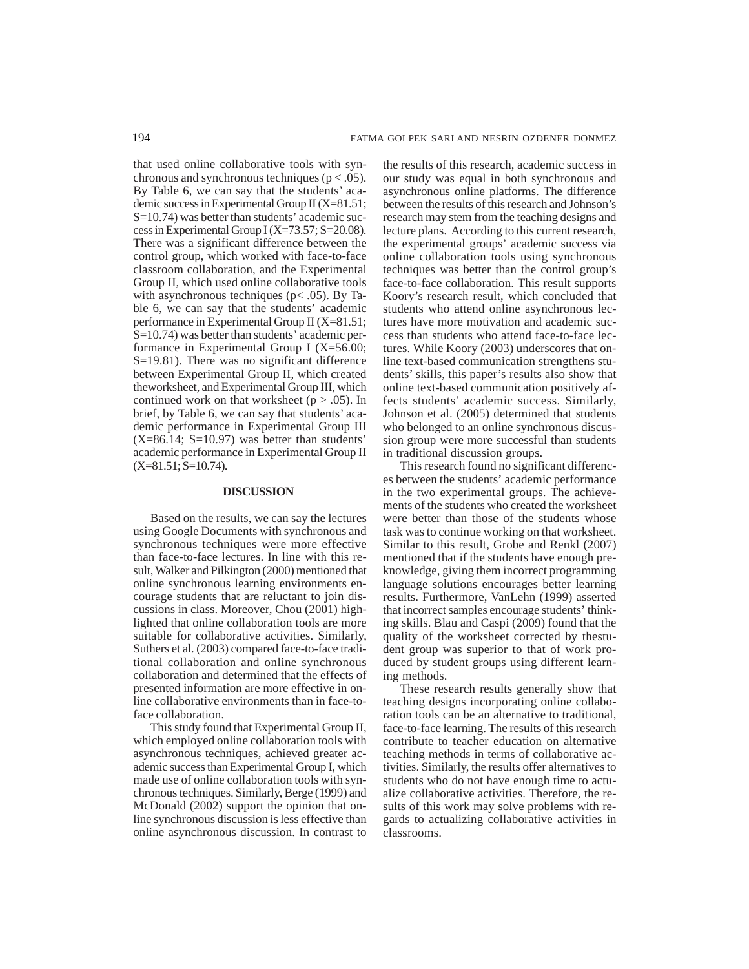that used online collaborative tools with synchronous and synchronous techniques ( $p < .05$ ). By Table 6, we can say that the students' academic success in Experimental Group II (X=81.51; S=10.74) was better than students' academic success in Experimental Group I (X=73.57; S=20.08). There was a significant difference between the control group, which worked with face-to-face classroom collaboration, and the Experimental Group II, which used online collaborative tools with asynchronous techniques ( $p$ < .05). By Table 6, we can say that the students' academic performance in Experimental Group II (X=81.51; S=10.74) was better than students' academic performance in Experimental Group I (X=56.00; S=19.81). There was no significant difference between Experimental Group II, which created theworksheet, and Experimental Group III, which continued work on that worksheet ( $p > .05$ ). In brief, by Table 6, we can say that students' academic performance in Experimental Group III  $(X=86.14; S=10.97)$  was better than students' academic performance in Experimental Group II  $(X=81.51; S=10.74)$ .

# **DISCUSSION**

Based on the results, we can say the lectures using Google Documents with synchronous and synchronous techniques were more effective than face-to-face lectures. In line with this result, Walker and Pilkington (2000) mentioned that online synchronous learning environments encourage students that are reluctant to join discussions in class. Moreover, Chou (2001) highlighted that online collaboration tools are more suitable for collaborative activities. Similarly, Suthers et al. (2003) compared face-to-face traditional collaboration and online synchronous collaboration and determined that the effects of presented information are more effective in online collaborative environments than in face-toface collaboration.

This study found that Experimental Group II, which employed online collaboration tools with asynchronous techniques, achieved greater academic success than Experimental Group I, which made use of online collaboration tools with synchronous techniques. Similarly, Berge (1999) and McDonald (2002) support the opinion that online synchronous discussion is less effective than online asynchronous discussion. In contrast to the results of this research, academic success in our study was equal in both synchronous and asynchronous online platforms. The difference between the results of this research and Johnson's research may stem from the teaching designs and lecture plans. According to this current research, the experimental groups' academic success via online collaboration tools using synchronous techniques was better than the control group's face-to-face collaboration. This result supports Koory's research result, which concluded that students who attend online asynchronous lectures have more motivation and academic success than students who attend face-to-face lectures. While Koory (2003) underscores that online text-based communication strengthens students' skills, this paper's results also show that online text-based communication positively affects students' academic success. Similarly, Johnson et al. (2005) determined that students who belonged to an online synchronous discussion group were more successful than students in traditional discussion groups.

This research found no significant differences between the students' academic performance in the two experimental groups. The achievements of the students who created the worksheet were better than those of the students whose task was to continue working on that worksheet. Similar to this result, Grobe and Renkl (2007) mentioned that if the students have enough preknowledge, giving them incorrect programming language solutions encourages better learning results. Furthermore, VanLehn (1999) asserted that incorrect samples encourage students' thinking skills. Blau and Caspi (2009) found that the quality of the worksheet corrected by thestudent group was superior to that of work produced by student groups using different learning methods.

These research results generally show that teaching designs incorporating online collaboration tools can be an alternative to traditional, face-to-face learning. The results of this research contribute to teacher education on alternative teaching methods in terms of collaborative activities. Similarly, the results offer alternatives to students who do not have enough time to actualize collaborative activities. Therefore, the results of this work may solve problems with regards to actualizing collaborative activities in classrooms.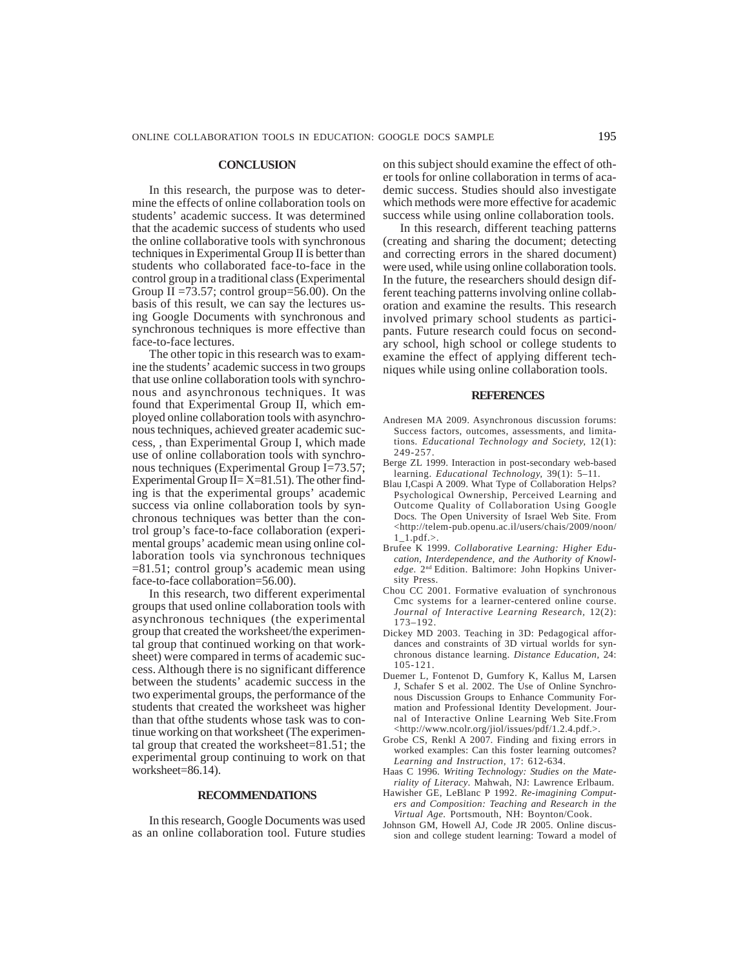#### **CONCLUSION**

In this research, the purpose was to determine the effects of online collaboration tools on students' academic success. It was determined that the academic success of students who used the online collaborative tools with synchronous techniques in Experimental Group II is better than students who collaborated face-to-face in the control group in a traditional class (Experimental Group II =73.57; control group=56.00). On the basis of this result, we can say the lectures using Google Documents with synchronous and synchronous techniques is more effective than face-to-face lectures.

The other topic in this research was to examine the students' academic success in two groups that use online collaboration tools with synchronous and asynchronous techniques. It was found that Experimental Group II, which employed online collaboration tools with asynchronous techniques, achieved greater academic success, , than Experimental Group I, which made use of online collaboration tools with synchronous techniques (Experimental Group I=73.57; Experimental Group  $II = X = 81.51$ . The other finding is that the experimental groups' academic success via online collaboration tools by synchronous techniques was better than the control group's face-to-face collaboration (experimental groups' academic mean using online collaboration tools via synchronous techniques =81.51; control group's academic mean using face-to-face collaboration=56.00).

In this research, two different experimental groups that used online collaboration tools with asynchronous techniques (the experimental group that created the worksheet/the experimental group that continued working on that worksheet) were compared in terms of academic success. Although there is no significant difference between the students' academic success in the two experimental groups, the performance of the students that created the worksheet was higher than that ofthe students whose task was to continue working on that worksheet (The experimental group that created the worksheet=81.51; the experimental group continuing to work on that worksheet=86.14).

#### **RECOMMENDATIONS**

In this research, Google Documents was used as an online collaboration tool. Future studies

on this subject should examine the effect of other tools for online collaboration in terms of academic success. Studies should also investigate which methods were more effective for academic success while using online collaboration tools.

In this research, different teaching patterns (creating and sharing the document; detecting and correcting errors in the shared document) were used, while using online collaboration tools. In the future, the researchers should design different teaching patterns involving online collaboration and examine the results. This research involved primary school students as participants. Future research could focus on secondary school, high school or college students to examine the effect of applying different techniques while using online collaboration tools.

#### **REFERENCES**

- Andresen MA 2009. Asynchronous discussion forums: Success factors, outcomes, assessments, and limitations*. Educational Technology and Society,* 12(1): 249-257.
- Berge ZL 1999. Interaction in post-secondary web-based learning. *Educational Technology,* 39(1): 5–11.
- Blau I,Caspi A 2009. What Type of Collaboration Helps? Psychological Ownership, Perceived Learning and Outcome Quality of Collaboration Using Google Docs*.* The Open University of Israel Web Site. From <http://telem-pub.openu.ac.il/users/chais/2009/noon/ 1\_1.pdf.>.
- Brufee K 1999. *Collaborative Learning: Higher Education, Interdependence, and the Authority of Knowledge.* 2nd Edition. Baltimore: John Hopkins University Press.
- Chou CC 2001. Formative evaluation of synchronous Cmc systems for a learner-centered online course. *Journal of Interactive Learning Research,* 12(2): 173–192.
- Dickey MD 2003. Teaching in 3D: Pedagogical affordances and constraints of 3D virtual worlds for synchronous distance learning. *Distance Education,* 24: 105-121.
- Duemer L, Fontenot D, Gumfory K, Kallus M, Larsen J, Schafer S et al. 2002. The Use of Online Synchronous Discussion Groups to Enhance Community Formation and Professional Identity Development. Journal of Interactive Online Learning Web Site.From <http://www.ncolr.org/jiol/issues/pdf/1.2.4.pdf.>.
- Grobe CS, Renkl A 2007. Finding and fixing errors in worked examples: Can this foster learning outcomes? *Learning and Instruction,* 17: 612-634.
- Haas C 1996. *Writing Technology: Studies on the Materiality of Literacy*. Mahwah, NJ: Lawrence Erlbaum.
- Hawisher GE, LeBlanc P 1992. *Re-imagining Computers and Composition: Teaching and Research in the Virtual Age.* Portsmouth, NH: Boynton/Cook.
- Johnson GM, Howell AJ, Code JR 2005. Online discussion and college student learning: Toward a model of